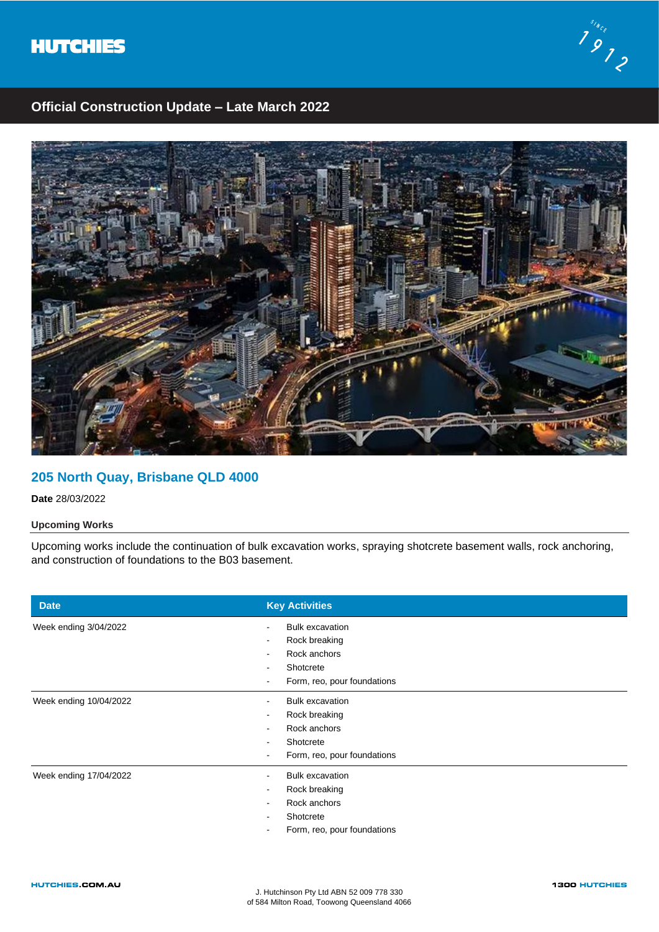



# **Official Construction Update – Late March 2022**



### **205 North Quay, Brisbane QLD 4000**

**Date** 28/03/2022

### **Upcoming Works**

Upcoming works include the continuation of bulk excavation works, spraying shotcrete basement walls, rock anchoring, and construction of foundations to the B03 basement.

| <b>Date</b>            | <b>Key Activities</b>                              |
|------------------------|----------------------------------------------------|
| Week ending 3/04/2022  | <b>Bulk excavation</b><br>$\overline{\phantom{a}}$ |
|                        | Rock breaking<br>$\,$                              |
|                        | Rock anchors<br>$\sim$                             |
|                        | Shotcrete                                          |
|                        | Form, reo, pour foundations                        |
| Week ending 10/04/2022 | <b>Bulk excavation</b>                             |
|                        | Rock breaking                                      |
|                        | Rock anchors                                       |
|                        | Shotcrete                                          |
|                        | Form, reo, pour foundations                        |
| Week ending 17/04/2022 | <b>Bulk excavation</b>                             |
|                        | Rock breaking<br>$\overline{\phantom{a}}$          |
|                        | Rock anchors                                       |
|                        | Shotcrete                                          |
|                        | Form, reo, pour foundations                        |